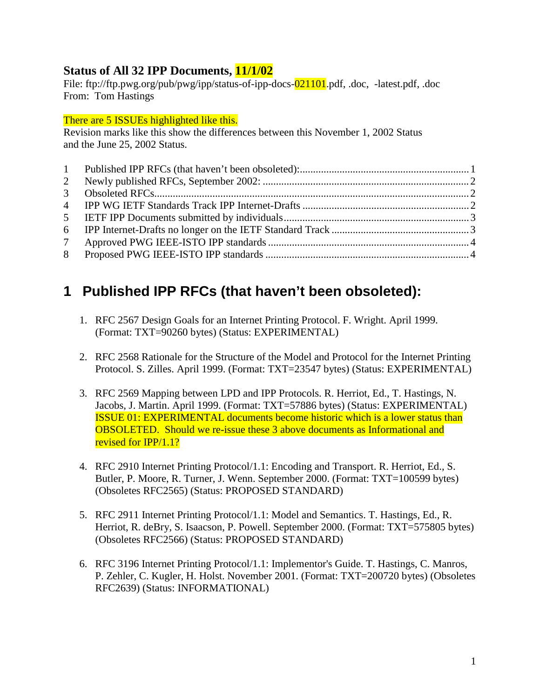#### **Status of All 32 IPP Documents, 11/1/02**

File: ftp://ftp.pwg.org/pub/pwg/ipp/status-of-ipp-docs-021101.pdf, .doc, -latest.pdf, .doc From: Tom Hastings

There are 5 ISSUEs highlighted like this.

Revision marks like this show the differences between this November 1, 2002 Status and the June 25, 2002 Status.

| 2 |  |
|---|--|
|   |  |
|   |  |
|   |  |
|   |  |
|   |  |
|   |  |

# **1 Published IPP RFCs (that haven't been obsoleted):**

- 1. RFC 2567 Design Goals for an Internet Printing Protocol. F. Wright. April 1999. (Format: TXT=90260 bytes) (Status: EXPERIMENTAL)
- 2. RFC 2568 Rationale for the Structure of the Model and Protocol for the Internet Printing Protocol. S. Zilles. April 1999. (Format: TXT=23547 bytes) (Status: EXPERIMENTAL)
- 3. RFC 2569 Mapping between LPD and IPP Protocols. R. Herriot, Ed., T. Hastings, N. Jacobs, J. Martin. April 1999. (Format: TXT=57886 bytes) (Status: EXPERIMENTAL) ISSUE 01: EXPERIMENTAL documents become historic which is a lower status than OBSOLETED. Should we re-issue these 3 above documents as Informational and revised for IPP/1.1?
- 4. RFC 2910 Internet Printing Protocol/1.1: Encoding and Transport. R. Herriot, Ed., S. Butler, P. Moore, R. Turner, J. Wenn. September 2000. (Format: TXT=100599 bytes) (Obsoletes RFC2565) (Status: PROPOSED STANDARD)
- 5. RFC 2911 Internet Printing Protocol/1.1: Model and Semantics. T. Hastings, Ed., R. Herriot, R. deBry, S. Isaacson, P. Powell. September 2000. (Format: TXT=575805 bytes) (Obsoletes RFC2566) (Status: PROPOSED STANDARD)
- 6. RFC 3196 Internet Printing Protocol/1.1: Implementor's Guide. T. Hastings, C. Manros, P. Zehler, C. Kugler, H. Holst. November 2001. (Format: TXT=200720 bytes) (Obsoletes RFC2639) (Status: INFORMATIONAL)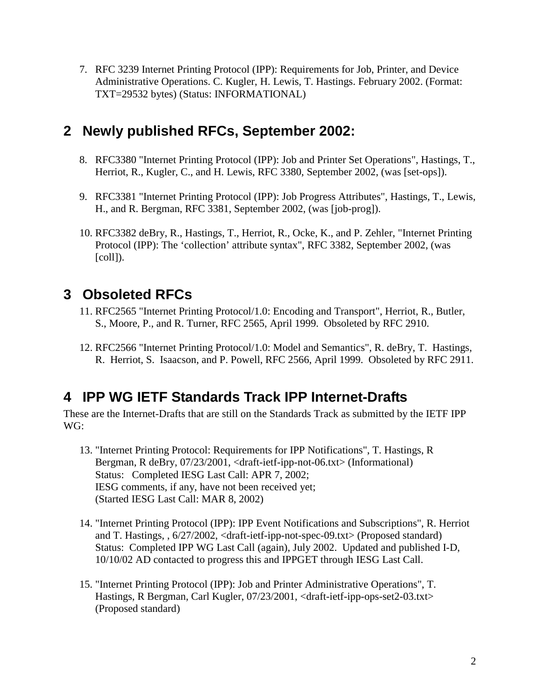<span id="page-1-0"></span>7. RFC 3239 Internet Printing Protocol (IPP): Requirements for Job, Printer, and Device Administrative Operations. C. Kugler, H. Lewis, T. Hastings. February 2002. (Format: TXT=29532 bytes) (Status: INFORMATIONAL)

#### **2 Newly published RFCs, September 2002:**

- 8. RFC3380 "Internet Printing Protocol (IPP): Job and Printer Set Operations", Hastings, T., Herriot, R., Kugler, C., and H. Lewis, RFC 3380, September 2002, (was [set-ops]).
- 9. RFC3381 "Internet Printing Protocol (IPP): Job Progress Attributes", Hastings, T., Lewis, H., and R. Bergman, RFC 3381, September 2002, (was [job-prog]).
- 10. RFC3382 deBry, R., Hastings, T., Herriot, R., Ocke, K., and P. Zehler, "Internet Printing Protocol (IPP): The 'collection' attribute syntax", RFC 3382, September 2002, (was [coll]).

# **3 Obsoleted RFCs**

- 11. RFC2565 "Internet Printing Protocol/1.0: Encoding and Transport", Herriot, R., Butler, S., Moore, P., and R. Turner, RFC 2565, April 1999. Obsoleted by RFC 2910.
- 12. RFC2566 "Internet Printing Protocol/1.0: Model and Semantics", R. deBry, T. Hastings, R. Herriot, S. Isaacson, and P. Powell, RFC 2566, April 1999. Obsoleted by RFC 2911.

## **4 IPP WG IETF Standards Track IPP Internet-Drafts**

These are the Internet-Drafts that are still on the Standards Track as submitted by the IETF IPP WG:

- 13. "Internet Printing Protocol: Requirements for IPP Notifications", T. Hastings, R Bergman, R deBry, 07/23/2001, <draft-ietf-ipp-not-06.txt> (Informational) Status: Completed IESG Last Call: APR 7, 2002; IESG comments, if any, have not been received yet; (Started IESG Last Call: MAR 8, 2002)
- 14. "Internet Printing Protocol (IPP): IPP Event Notifications and Subscriptions", R. Herriot and T. Hastings, , 6/27/2002, <draft-ietf-ipp-not-spec-09.txt> (Proposed standard) Status: Completed IPP WG Last Call (again), July 2002. Updated and published I-D, 10/10/02 AD contacted to progress this and IPPGET through IESG Last Call.
- 15. "Internet Printing Protocol (IPP): Job and Printer Administrative Operations", T. Hastings, R Bergman, Carl Kugler, 07/23/2001, <draft-ietf-ipp-ops-set2-03.txt> (Proposed standard)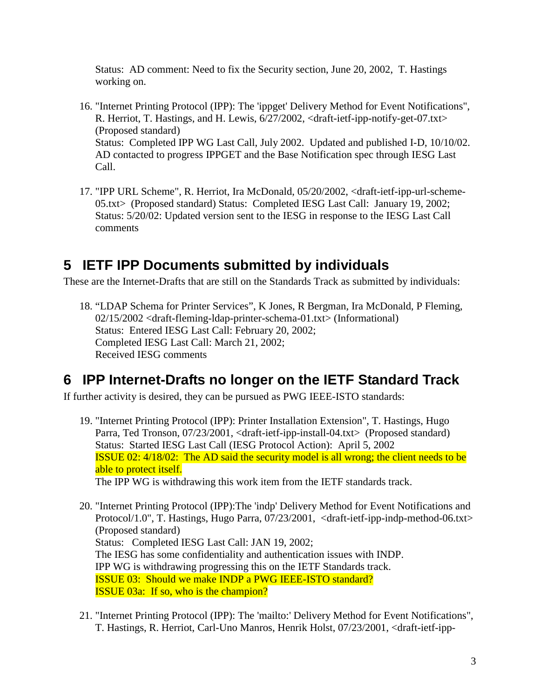<span id="page-2-0"></span>Status: AD comment: Need to fix the Security section, June 20, 2002, T. Hastings working on.

- 16. "Internet Printing Protocol (IPP): The 'ippget' Delivery Method for Event Notifications", R. Herriot, T. Hastings, and H. Lewis, 6/27/2002, <draft-ietf-ipp-notify-get-07.txt> (Proposed standard) Status: Completed IPP WG Last Call, July 2002. Updated and published I-D, 10/10/02. AD contacted to progress IPPGET and the Base Notification spec through IESG Last Call.
- 17. "IPP URL Scheme", R. Herriot, Ira McDonald, 05/20/2002, <draft-ietf-ipp-url-scheme-05.txt> (Proposed standard) Status: Completed IESG Last Call: January 19, 2002; Status: 5/20/02: Updated version sent to the IESG in response to the IESG Last Call comments

## **5 IETF IPP Documents submitted by individuals**

These are the Internet-Drafts that are still on the Standards Track as submitted by individuals:

18. "LDAP Schema for Printer Services", K Jones, R Bergman, Ira McDonald, P Fleming, 02/15/2002 <draft-fleming-ldap-printer-schema-01.txt> (Informational) Status: Entered IESG Last Call: February 20, 2002; Completed IESG Last Call: March 21, 2002; Received IESG comments

#### **6 IPP Internet-Drafts no longer on the IETF Standard Track**

If further activity is desired, they can be pursued as PWG IEEE-ISTO standards:

19. "Internet Printing Protocol (IPP): Printer Installation Extension", T. Hastings, Hugo Parra, Ted Tronson, 07/23/2001, <draft-ietf-ipp-install-04.txt> (Proposed standard) Status: Started IESG Last Call (IESG Protocol Action): April 5, 2002 ISSUE 02: 4/18/02: The AD said the security model is all wrong; the client needs to be able to protect itself.

The IPP WG is withdrawing this work item from the IETF standards track.

- 20. "Internet Printing Protocol (IPP):The 'indp' Delivery Method for Event Notifications and Protocol/1.0", T. Hastings, Hugo Parra, 07/23/2001, <draft-ietf-ipp-indp-method-06.txt> (Proposed standard) Status: Completed IESG Last Call: JAN 19, 2002; The IESG has some confidentiality and authentication issues with INDP. IPP WG is withdrawing progressing this on the IETF Standards track. ISSUE 03: Should we make INDP a PWG IEEE-ISTO standard? ISSUE 03a: If so, who is the champion?
- 21. "Internet Printing Protocol (IPP): The 'mailto:' Delivery Method for Event Notifications", T. Hastings, R. Herriot, Carl-Uno Manros, Henrik Holst, 07/23/2001, <draft-ietf-ipp-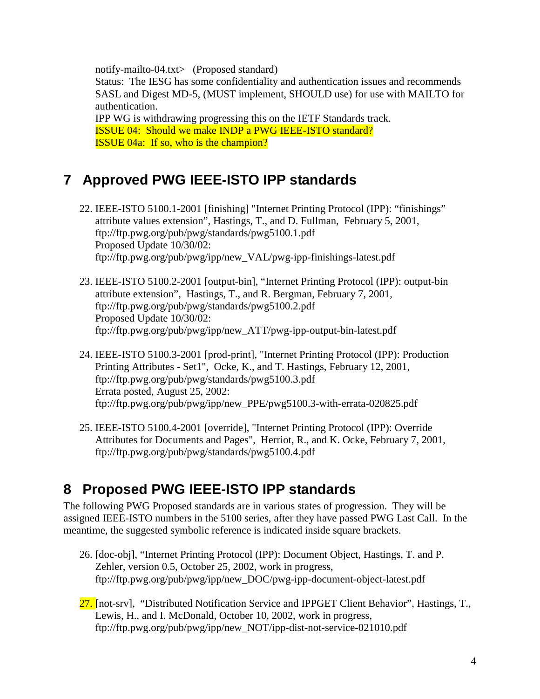<span id="page-3-0"></span>notify-mailto-04.txt> (Proposed standard) Status: The IESG has some confidentiality and authentication issues and recommends SASL and Digest MD-5, (MUST implement, SHOULD use) for use with MAILTO for authentication. IPP WG is withdrawing progressing this on the IETF Standards track. ISSUE 04: Should we make INDP a PWG IEEE-ISTO standard? ISSUE 04a: If so, who is the champion?

## **7 Approved PWG IEEE-ISTO IPP standards**

- 22. IEEE-ISTO 5100.1-2001 [finishing] "Internet Printing Protocol (IPP): "finishings" attribute values extension", Hastings, T., and D. Fullman, February 5, 2001, ftp://ftp.pwg.org/pub/pwg/standards/pwg5100.1.pdf Proposed Update 10/30/02: ftp://ftp.pwg.org/pub/pwg/ipp/new\_VAL/pwg-ipp-finishings-latest.pdf
- 23. IEEE-ISTO 5100.2-2001 [output-bin], "Internet Printing Protocol (IPP): output-bin attribute extension", Hastings, T., and R. Bergman, February 7, 2001, ftp://ftp.pwg.org/pub/pwg/standards/pwg5100.2.pdf Proposed Update 10/30/02: ftp://ftp.pwg.org/pub/pwg/ipp/new\_ATT/pwg-ipp-output-bin-latest.pdf
- 24. IEEE-ISTO 5100.3-2001 [prod-print], "Internet Printing Protocol (IPP): Production Printing Attributes - Set1", Ocke, K., and T. Hastings, February 12, 2001, ftp://ftp.pwg.org/pub/pwg/standards/pwg5100.3.pdf Errata posted, August 25, 2002: ftp://ftp.pwg.org/pub/pwg/ipp/new\_PPE/pwg5100.3-with-errata-020825.pdf
- 25. IEEE-ISTO 5100.4-2001 [override], "Internet Printing Protocol (IPP): Override Attributes for Documents and Pages", Herriot, R., and K. Ocke, February 7, 2001, ftp://ftp.pwg.org/pub/pwg/standards/pwg5100.4.pdf

## **8 Proposed PWG IEEE-ISTO IPP standards**

The following PWG Proposed standards are in various states of progression. They will be assigned IEEE-ISTO numbers in the 5100 series, after they have passed PWG Last Call. In the meantime, the suggested symbolic reference is indicated inside square brackets.

- 26. [doc-obj], "Internet Printing Protocol (IPP): Document Object, Hastings, T. and P. Zehler, version 0.5, October 25, 2002, work in progress, ftp://ftp.pwg.org/pub/pwg/ipp/new\_DOC/pwg-ipp-document-object-latest.pdf
- 27. [not-srv], "Distributed Notification Service and IPPGET Client Behavior", Hastings, T., Lewis, H., and I. McDonald, October 10, 2002, work in progress, ftp://ftp.pwg.org/pub/pwg/ipp/new\_NOT/ipp-dist-not-service-021010.pdf